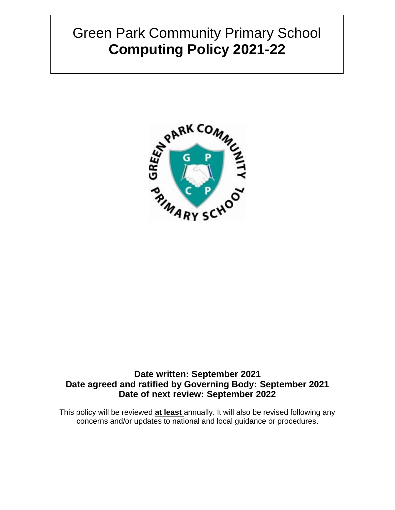# Green Park Community Primary School **Computing Policy 2021-22**



# **Date written: September 2021 Date agreed and ratified by Governing Body: September 2021 Date of next review: September 2022**

This policy will be reviewed **at least** annually. It will also be revised following any concerns and/or updates to national and local guidance or procedures.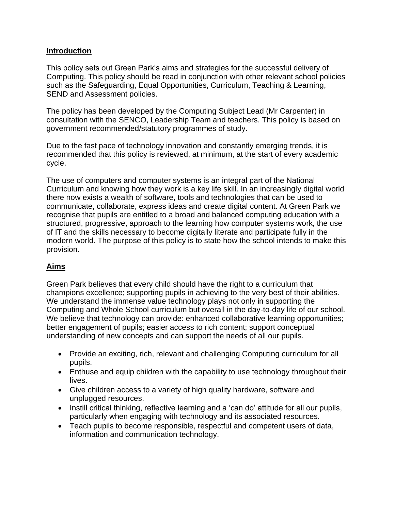#### **Introduction**

This policy sets out Green Park's aims and strategies for the successful delivery of Computing. This policy should be read in conjunction with other relevant school policies such as the Safeguarding, Equal Opportunities, Curriculum, Teaching & Learning, SEND and Assessment policies.

The policy has been developed by the Computing Subject Lead (Mr Carpenter) in consultation with the SENCO, Leadership Team and teachers. This policy is based on government recommended/statutory programmes of study.

Due to the fast pace of technology innovation and constantly emerging trends, it is recommended that this policy is reviewed, at minimum, at the start of every academic cycle.

The use of computers and computer systems is an integral part of the National Curriculum and knowing how they work is a key life skill. In an increasingly digital world there now exists a wealth of software, tools and technologies that can be used to communicate, collaborate, express ideas and create digital content. At Green Park we recognise that pupils are entitled to a broad and balanced computing education with a structured, progressive, approach to the learning how computer systems work, the use of IT and the skills necessary to become digitally literate and participate fully in the modern world. The purpose of this policy is to state how the school intends to make this provision.

## **Aims**

Green Park believes that every child should have the right to a curriculum that champions excellence; supporting pupils in achieving to the very best of their abilities. We understand the immense value technology plays not only in supporting the Computing and Whole School curriculum but overall in the day-to-day life of our school. We believe that technology can provide: enhanced collaborative learning opportunities; better engagement of pupils; easier access to rich content; support conceptual understanding of new concepts and can support the needs of all our pupils.

- Provide an exciting, rich, relevant and challenging Computing curriculum for all pupils.
- Enthuse and equip children with the capability to use technology throughout their lives.
- Give children access to a variety of high quality hardware, software and unplugged resources.
- Instill critical thinking, reflective learning and a 'can do' attitude for all our pupils, particularly when engaging with technology and its associated resources.
- Teach pupils to become responsible, respectful and competent users of data, information and communication technology.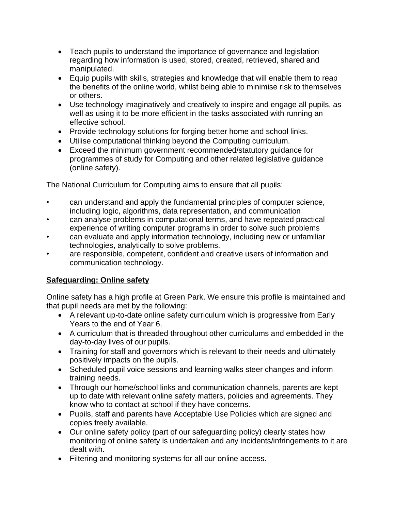- Teach pupils to understand the importance of governance and legislation regarding how information is used, stored, created, retrieved, shared and manipulated.
- Equip pupils with skills, strategies and knowledge that will enable them to reap the benefits of the online world, whilst being able to minimise risk to themselves or others.
- Use technology imaginatively and creatively to inspire and engage all pupils, as well as using it to be more efficient in the tasks associated with running an effective school.
- Provide technology solutions for forging better home and school links.
- Utilise computational thinking beyond the Computing curriculum.
- Exceed the minimum government recommended/statutory guidance for programmes of study for Computing and other related legislative guidance (online safety).

The National Curriculum for Computing aims to ensure that all pupils:

- can understand and apply the fundamental principles of computer science, including logic, algorithms, data representation, and communication
- can analyse problems in computational terms, and have repeated practical experience of writing computer programs in order to solve such problems
- can evaluate and apply information technology, including new or unfamiliar technologies, analytically to solve problems.
- are responsible, competent, confident and creative users of information and communication technology.

# **Safeguarding: Online safety**

Online safety has a high profile at Green Park. We ensure this profile is maintained and that pupil needs are met by the following:

- A relevant up-to-date online safety curriculum which is progressive from Early Years to the end of Year 6.
- A curriculum that is threaded throughout other curriculums and embedded in the day-to-day lives of our pupils.
- Training for staff and governors which is relevant to their needs and ultimately positively impacts on the pupils.
- Scheduled pupil voice sessions and learning walks steer changes and inform training needs.
- Through our home/school links and communication channels, parents are kept up to date with relevant online safety matters, policies and agreements. They know who to contact at school if they have concerns.
- Pupils, staff and parents have Acceptable Use Policies which are signed and copies freely available.
- Our online safety policy (part of our safeguarding policy) clearly states how monitoring of online safety is undertaken and any incidents/infringements to it are dealt with.
- Filtering and monitoring systems for all our online access.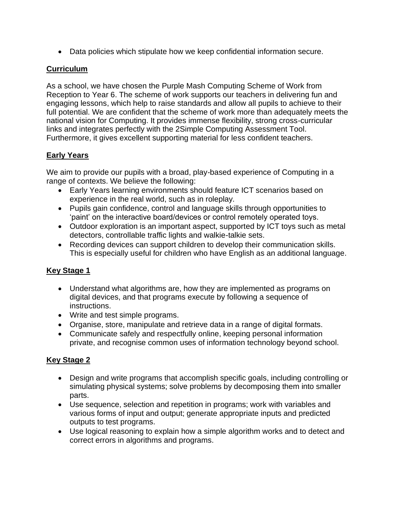• Data policies which stipulate how we keep confidential information secure.

## **Curriculum**

As a school, we have chosen the Purple Mash Computing Scheme of Work from Reception to Year 6. The scheme of work supports our teachers in delivering fun and engaging lessons, which help to raise standards and allow all pupils to achieve to their full potential. We are confident that the scheme of work more than adequately meets the national vision for Computing. It provides immense flexibility, strong cross-curricular links and integrates perfectly with the 2Simple Computing Assessment Tool. Furthermore, it gives excellent supporting material for less confident teachers.

# **Early Years**

We aim to provide our pupils with a broad, play-based experience of Computing in a range of contexts. We believe the following:

- Early Years learning environments should feature ICT scenarios based on experience in the real world, such as in roleplay.
- Pupils gain confidence, control and language skills through opportunities to 'paint' on the interactive board/devices or control remotely operated toys.
- Outdoor exploration is an important aspect, supported by ICT toys such as metal detectors, controllable traffic lights and walkie-talkie sets.
- Recording devices can support children to develop their communication skills. This is especially useful for children who have English as an additional language.

# **Key Stage 1**

- Understand what algorithms are, how they are implemented as programs on digital devices, and that programs execute by following a sequence of instructions.
- Write and test simple programs.
- Organise, store, manipulate and retrieve data in a range of digital formats.
- Communicate safely and respectfully online, keeping personal information private, and recognise common uses of information technology beyond school.

## **Key Stage 2**

- Design and write programs that accomplish specific goals, including controlling or simulating physical systems; solve problems by decomposing them into smaller parts.
- Use sequence, selection and repetition in programs; work with variables and various forms of input and output; generate appropriate inputs and predicted outputs to test programs.
- Use logical reasoning to explain how a simple algorithm works and to detect and correct errors in algorithms and programs.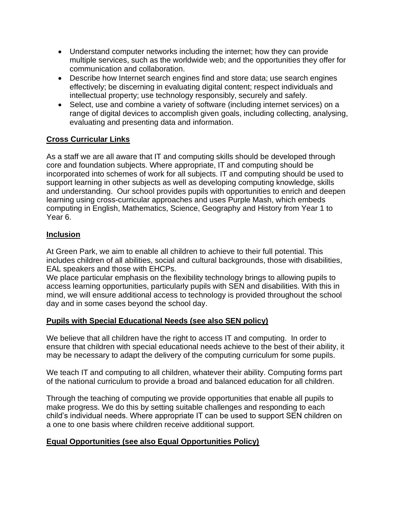- Understand computer networks including the internet; how they can provide multiple services, such as the worldwide web; and the opportunities they offer for communication and collaboration.
- Describe how Internet search engines find and store data; use search engines effectively; be discerning in evaluating digital content; respect individuals and intellectual property; use technology responsibly, securely and safely.
- Select, use and combine a variety of software (including internet services) on a range of digital devices to accomplish given goals, including collecting, analysing, evaluating and presenting data and information.

## **Cross Curricular Links**

As a staff we are all aware that IT and computing skills should be developed through core and foundation subjects. Where appropriate, IT and computing should be incorporated into schemes of work for all subjects. IT and computing should be used to support learning in other subjects as well as developing computing knowledge, skills and understanding. Our school provides pupils with opportunities to enrich and deepen learning using cross-curricular approaches and uses Purple Mash, which embeds computing in English, Mathematics, Science, Geography and History from Year 1 to Year 6.

## **Inclusion**

At Green Park, we aim to enable all children to achieve to their full potential. This includes children of all abilities, social and cultural backgrounds, those with disabilities, EAL speakers and those with EHCPs.

We place particular emphasis on the flexibility technology brings to allowing pupils to access learning opportunities, particularly pupils with SEN and disabilities. With this in mind, we will ensure additional access to technology is provided throughout the school day and in some cases beyond the school day.

## **Pupils with Special Educational Needs (see also SEN policy)**

We believe that all children have the right to access IT and computing. In order to ensure that children with special educational needs achieve to the best of their ability, it may be necessary to adapt the delivery of the computing curriculum for some pupils.

We teach IT and computing to all children, whatever their ability. Computing forms part of the national curriculum to provide a broad and balanced education for all children.

Through the teaching of computing we provide opportunities that enable all pupils to make progress. We do this by setting suitable challenges and responding to each child's individual needs. Where appropriate IT can be used to support SEN children on a one to one basis where children receive additional support.

## **Equal Opportunities (see also Equal Opportunities Policy)**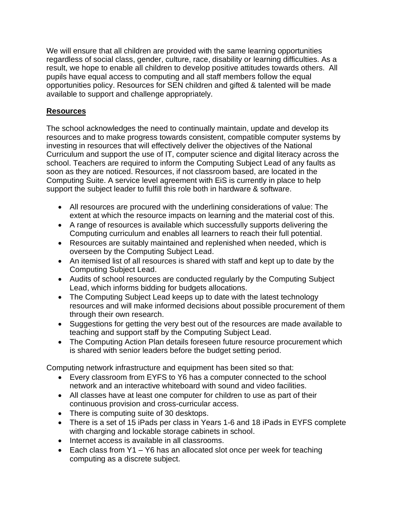We will ensure that all children are provided with the same learning opportunities regardless of social class, gender, culture, race, disability or learning difficulties. As a result, we hope to enable all children to develop positive attitudes towards others. All pupils have equal access to computing and all staff members follow the equal opportunities policy. Resources for SEN children and gifted & talented will be made available to support and challenge appropriately.

## **Resources**

The school acknowledges the need to continually maintain, update and develop its resources and to make progress towards consistent, compatible computer systems by investing in resources that will effectively deliver the objectives of the National Curriculum and support the use of IT, computer science and digital literacy across the school. Teachers are required to inform the Computing Subject Lead of any faults as soon as they are noticed. Resources, if not classroom based, are located in the Computing Suite. A service level agreement with EiS is currently in place to help support the subject leader to fulfill this role both in hardware & software.

- All resources are procured with the underlining considerations of value: The extent at which the resource impacts on learning and the material cost of this.
- A range of resources is available which successfully supports delivering the Computing curriculum and enables all learners to reach their full potential.
- Resources are suitably maintained and replenished when needed, which is overseen by the Computing Subject Lead.
- An itemised list of all resources is shared with staff and kept up to date by the Computing Subject Lead.
- Audits of school resources are conducted regularly by the Computing Subject Lead, which informs bidding for budgets allocations.
- The Computing Subject Lead keeps up to date with the latest technology resources and will make informed decisions about possible procurement of them through their own research.
- Suggestions for getting the very best out of the resources are made available to teaching and support staff by the Computing Subject Lead.
- The Computing Action Plan details foreseen future resource procurement which is shared with senior leaders before the budget setting period.

Computing network infrastructure and equipment has been sited so that:

- Every classroom from EYFS to Y6 has a computer connected to the school network and an interactive whiteboard with sound and video facilities.
- All classes have at least one computer for children to use as part of their continuous provision and cross-curricular access.
- There is computing suite of 30 desktops.
- There is a set of 15 iPads per class in Years 1-6 and 18 iPads in EYFS complete with charging and lockable storage cabinets in school.
- Internet access is available in all classrooms.
- Each class from  $Y1 Y6$  has an allocated slot once per week for teaching computing as a discrete subject.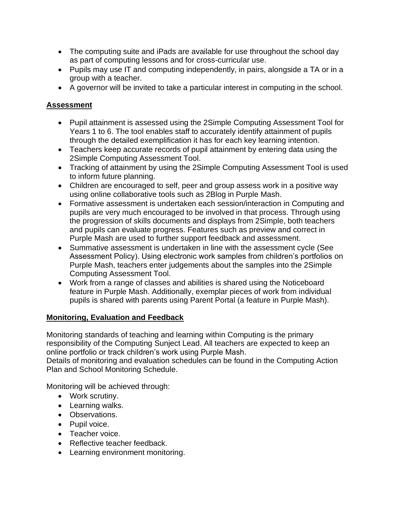- The computing suite and iPads are available for use throughout the school day as part of computing lessons and for cross-curricular use.
- Pupils may use IT and computing independently, in pairs, alongside a TA or in a group with a teacher.
- A governor will be invited to take a particular interest in computing in the school.

## **Assessment**

- Pupil attainment is assessed using the 2Simple Computing Assessment Tool for Years 1 to 6. The tool enables staff to accurately identify attainment of pupils through the detailed exemplification it has for each key learning intention.
- Teachers keep accurate records of pupil attainment by entering data using the 2Simple Computing Assessment Tool.
- Tracking of attainment by using the 2Simple Computing Assessment Tool is used to inform future planning.
- Children are encouraged to self, peer and group assess work in a positive way using online collaborative tools such as 2Blog in Purple Mash.
- Formative assessment is undertaken each session/interaction in Computing and pupils are very much encouraged to be involved in that process. Through using the progression of skills documents and displays from 2Simple, both teachers and pupils can evaluate progress. Features such as preview and correct in Purple Mash are used to further support feedback and assessment.
- Summative assessment is undertaken in line with the assessment cycle (See Assessment Policy). Using electronic work samples from children's portfolios on Purple Mash, teachers enter judgements about the samples into the 2Simple Computing Assessment Tool.
- Work from a range of classes and abilities is shared using the Noticeboard feature in Purple Mash. Additionally, exemplar pieces of work from individual pupils is shared with parents using Parent Portal (a feature in Purple Mash).

# **Monitoring, Evaluation and Feedback**

Monitoring standards of teaching and learning within Computing is the primary responsibility of the Computing Sunject Lead. All teachers are expected to keep an online portfolio or track children's work using Purple Mash.

Details of monitoring and evaluation schedules can be found in the Computing Action Plan and School Monitoring Schedule.

Monitoring will be achieved through:

- Work scrutiny.
- Learning walks.
- Observations.
- Pupil voice.
- Teacher voice.
- Reflective teacher feedback.
- Learning environment monitoring.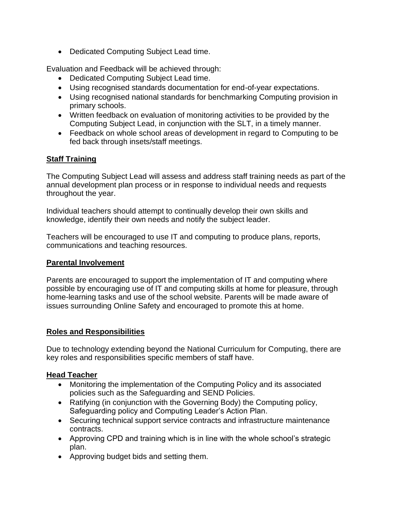• Dedicated Computing Subject Lead time.

Evaluation and Feedback will be achieved through:

- Dedicated Computing Subject Lead time.
- Using recognised standards documentation for end-of-year expectations.
- Using recognised national standards for benchmarking Computing provision in primary schools.
- Written feedback on evaluation of monitoring activities to be provided by the Computing Subject Lead, in conjunction with the SLT, in a timely manner.
- Feedback on whole school areas of development in regard to Computing to be fed back through insets/staff meetings.

## **Staff Training**

The Computing Subject Lead will assess and address staff training needs as part of the annual development plan process or in response to individual needs and requests throughout the year.

Individual teachers should attempt to continually develop their own skills and knowledge, identify their own needs and notify the subject leader.

Teachers will be encouraged to use IT and computing to produce plans, reports, communications and teaching resources.

## **Parental Involvement**

Parents are encouraged to support the implementation of IT and computing where possible by encouraging use of IT and computing skills at home for pleasure, through home-learning tasks and use of the school website. Parents will be made aware of issues surrounding Online Safety and encouraged to promote this at home.

## **Roles and Responsibilities**

Due to technology extending beyond the National Curriculum for Computing, there are key roles and responsibilities specific members of staff have.

## **Head Teacher**

- Monitoring the implementation of the Computing Policy and its associated policies such as the Safeguarding and SEND Policies.
- Ratifying (in conjunction with the Governing Body) the Computing policy, Safeguarding policy and Computing Leader's Action Plan.
- Securing technical support service contracts and infrastructure maintenance contracts.
- Approving CPD and training which is in line with the whole school's strategic plan.
- Approving budget bids and setting them.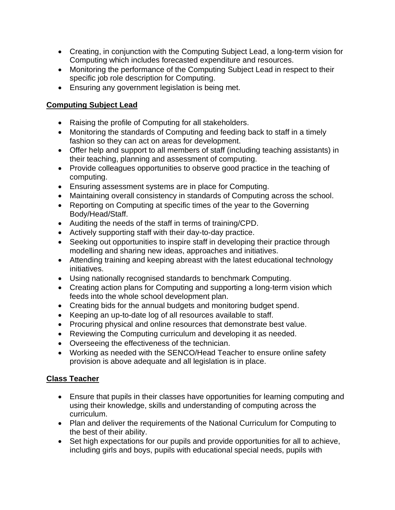- Creating, in conjunction with the Computing Subject Lead, a long-term vision for Computing which includes forecasted expenditure and resources.
- Monitoring the performance of the Computing Subject Lead in respect to their specific job role description for Computing.
- Ensuring any government legislation is being met.

## **Computing Subject Lead**

- Raising the profile of Computing for all stakeholders.
- Monitoring the standards of Computing and feeding back to staff in a timely fashion so they can act on areas for development.
- Offer help and support to all members of staff (including teaching assistants) in their teaching, planning and assessment of computing.
- Provide colleagues opportunities to observe good practice in the teaching of computing.
- Ensuring assessment systems are in place for Computing.
- Maintaining overall consistency in standards of Computing across the school.
- Reporting on Computing at specific times of the year to the Governing Body/Head/Staff.
- Auditing the needs of the staff in terms of training/CPD.
- Actively supporting staff with their day-to-day practice.
- Seeking out opportunities to inspire staff in developing their practice through modelling and sharing new ideas, approaches and initiatives.
- Attending training and keeping abreast with the latest educational technology initiatives.
- Using nationally recognised standards to benchmark Computing.
- Creating action plans for Computing and supporting a long-term vision which feeds into the whole school development plan.
- Creating bids for the annual budgets and monitoring budget spend.
- Keeping an up-to-date log of all resources available to staff.
- Procuring physical and online resources that demonstrate best value.
- Reviewing the Computing curriculum and developing it as needed.
- Overseeing the effectiveness of the technician.
- Working as needed with the SENCO/Head Teacher to ensure online safety provision is above adequate and all legislation is in place.

# **Class Teacher**

- Ensure that pupils in their classes have opportunities for learning computing and using their knowledge, skills and understanding of computing across the curriculum.
- Plan and deliver the requirements of the National Curriculum for Computing to the best of their ability.
- Set high expectations for our pupils and provide opportunities for all to achieve, including girls and boys, pupils with educational special needs, pupils with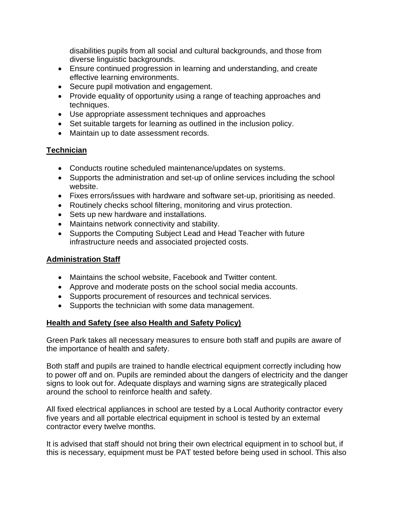disabilities pupils from all social and cultural backgrounds, and those from diverse linguistic backgrounds.

- Ensure continued progression in learning and understanding, and create effective learning environments.
- Secure pupil motivation and engagement.
- Provide equality of opportunity using a range of teaching approaches and techniques.
- Use appropriate assessment techniques and approaches
- Set suitable targets for learning as outlined in the inclusion policy.
- Maintain up to date assessment records.

## **Technician**

- Conducts routine scheduled maintenance/updates on systems.
- Supports the administration and set-up of online services including the school website.
- Fixes errors/issues with hardware and software set-up, prioritising as needed.
- Routinely checks school filtering, monitoring and virus protection.
- Sets up new hardware and installations.
- Maintains network connectivity and stability.
- Supports the Computing Subject Lead and Head Teacher with future infrastructure needs and associated projected costs.

#### **Administration Staff**

- Maintains the school website, Facebook and Twitter content.
- Approve and moderate posts on the school social media accounts.
- Supports procurement of resources and technical services.
- Supports the technician with some data management.

## **Health and Safety (see also Health and Safety Policy)**

Green Park takes all necessary measures to ensure both staff and pupils are aware of the importance of health and safety.

Both staff and pupils are trained to handle electrical equipment correctly including how to power off and on. Pupils are reminded about the dangers of electricity and the danger signs to look out for. Adequate displays and warning signs are strategically placed around the school to reinforce health and safety.

All fixed electrical appliances in school are tested by a Local Authority contractor every five years and all portable electrical equipment in school is tested by an external contractor every twelve months.

It is advised that staff should not bring their own electrical equipment in to school but, if this is necessary, equipment must be PAT tested before being used in school. This also